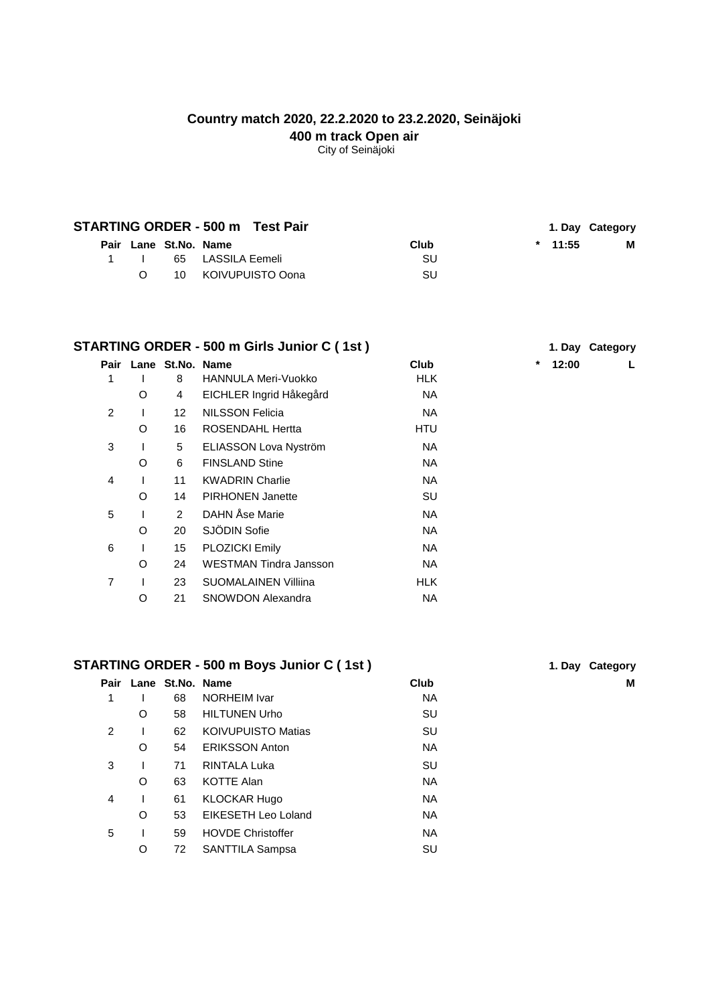# **Country match 2020, 22.2.2020 to 23.2.2020, Seinäjoki 400 m track Open air**

City of Seinäjoki

|  |    |                       | STARTING ORDER - 500 m Test Pair |      |           | 1. Day Category |
|--|----|-----------------------|----------------------------------|------|-----------|-----------------|
|  |    | Pair Lane St.No. Name |                                  | Club | $*$ 11:55 | м               |
|  |    |                       | 1 I 65 LASSILA Eemeli            | SU.  |           |                 |
|  | O. |                       | 10 KOIVUPUISTO Oona              | SU   |           |                 |

|   | STARTING ORDER - 500 m Girls Junior C (1st) | 1. Day Category       |                             |            |                 |
|---|---------------------------------------------|-----------------------|-----------------------------|------------|-----------------|
|   |                                             | Pair Lane St.No. Name |                             | Club       | $\ast$<br>12:00 |
|   |                                             | 8                     | <b>HANNULA Meri-Vuokko</b>  | <b>HLK</b> |                 |
|   | O                                           | 4                     | EICHLER Ingrid Håkegård     | <b>NA</b>  |                 |
| 2 |                                             | 12 <sup>2</sup>       | <b>NILSSON Felicia</b>      | NA.        |                 |
|   | O                                           | 16                    | <b>ROSENDAHL Hertta</b>     | HTU        |                 |
| 3 |                                             | 5                     | ELIASSON Lova Nyström       | NA.        |                 |
|   | O                                           | 6                     | <b>FINSLAND Stine</b>       | NA.        |                 |
| 4 |                                             | 11                    | <b>KWADRIN Charlie</b>      | NA.        |                 |
|   | O                                           | 14                    | <b>PIRHONEN Janette</b>     | SU         |                 |
| 5 |                                             | $\overline{2}$        | DAHN Åse Marie              | NA.        |                 |
|   | $\Omega$                                    | 20                    | SJÖDIN Sofie                | NA.        |                 |
| 6 |                                             | 15                    | <b>PLOZICKI Emily</b>       | NA.        |                 |
|   | O                                           | 24                    | WESTMAN Tindra Jansson      | NA.        |                 |
| 7 |                                             | 23                    | <b>SUOMALAINEN Villiina</b> | <b>HLK</b> |                 |
|   | O                                           | 21                    | <b>SNOWDON Alexandra</b>    | NA.        |                 |
|   |                                             |                       |                             |            |                 |

# **STARTING ORDER - 500 m Boys Junior C ( 1st ) 1. Day Category**

| Pair          |   | Lane St.No. Name |                           | <b>Club</b> | M |
|---------------|---|------------------|---------------------------|-------------|---|
| 1             |   | 68               | NORHEIM Ivar              | <b>NA</b>   |   |
|               | O | 58               | <b>HILTUNEN Urho</b>      | SU          |   |
| $\mathcal{P}$ |   | 62               | <b>KOIVUPUISTO Matias</b> | SU          |   |
|               | O | 54               | <b>ERIKSSON Anton</b>     | <b>NA</b>   |   |
| 3             |   | 71               | RINTALA Luka              | SU          |   |
|               | O | 63               | <b>KOTTE Alan</b>         | NA.         |   |
| 4             |   | 61               | <b>KLOCKAR Hugo</b>       | <b>NA</b>   |   |
|               | O | 53               | EIKESETH Leo Loland       | <b>NA</b>   |   |
| 5             |   | 59               | <b>HOVDE Christoffer</b>  | <b>NA</b>   |   |
|               | O | 72               | SANTTILA Sampsa           | SU          |   |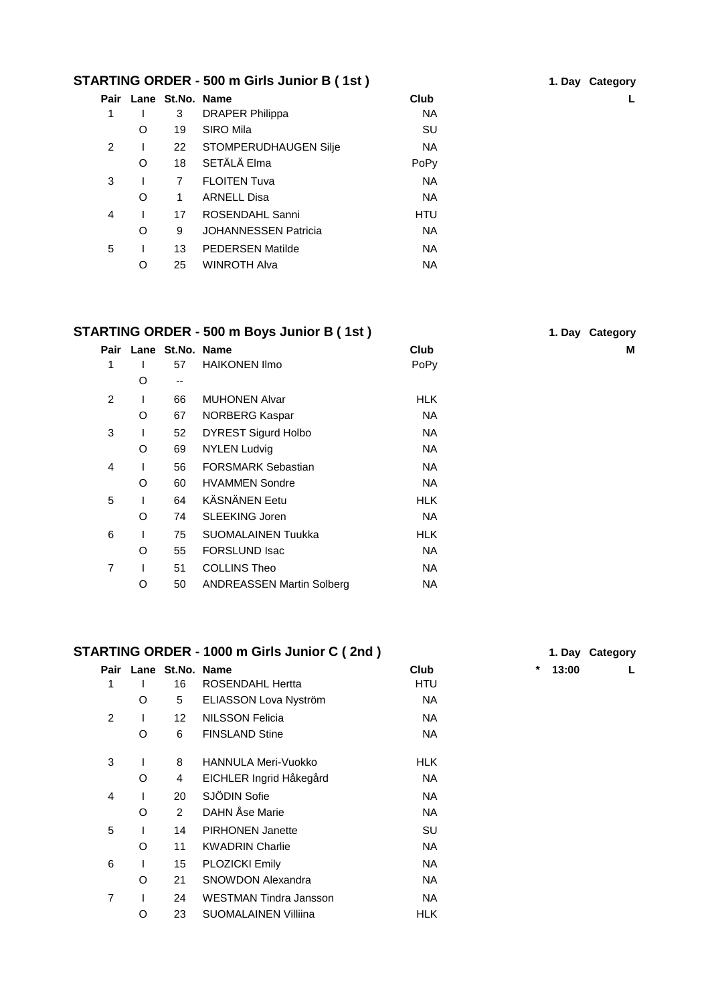#### **STARTING ORDER - 500 m Girls Junior B ( 1st ) 1. Day Category**

| Pair           |   | Lane St.No. Name |                             | Club      |  |
|----------------|---|------------------|-----------------------------|-----------|--|
| 1              |   | 3                | <b>DRAPER Philippa</b>      | <b>NA</b> |  |
|                | O | 19               | SIRO Mila                   | SU        |  |
| $\mathfrak{p}$ |   | 22               | STOMPERUDHAUGEN Silje       | <b>NA</b> |  |
|                | O | 18               | SETÄLÄ Elma                 | PoPy      |  |
| 3              |   | $\overline{7}$   | <b>FLOITEN Tuva</b>         | <b>NA</b> |  |
|                | O | 1.               | <b>ARNELL Disa</b>          | <b>NA</b> |  |
| 4              |   | 17               | ROSENDAHL Sanni             | HTU       |  |
|                | O | 9                | <b>JOHANNESSEN Patricia</b> | <b>NA</b> |  |
| 5              |   | 13               | <b>PEDERSEN Matilde</b>     | <b>NA</b> |  |
|                | O | 25               | <b>WINROTH Alva</b>         | <b>NA</b> |  |
|                |   |                  |                             |           |  |

#### **STARTING ORDER - 500 m Boys Junior B (1st)**

## **Pair Lane St.No. Name Club M** 1 I 57 HAIKONEN Ilmo PoPy O -- 2 I 66 MUHONEN Alvar New York HLK O 67 NORBERG Kaspar NA 3 I 52 DYREST Sigurd Holbo NA O 69 NYLEN Ludvig NA 4 I 56 FORSMARK Sebastian NA O 60 HVAMMEN Sondre NA 5 I 64 KÄSNÄNEN Eetu HLK O 74 SLEEKING Joren NA 6 I 75 SUOMALAINEN Tuukka HLK O 55 FORSLUND Isac NA 7 I 51 COLLINS Theo NA O 50 ANDREASSEN Martin Solberg NA

#### **STARTING ORDER - 1000 m Girls Junior C ( 2nd ) 1. Day Category**

| Pair |   | Lane St.No. Name |                             | <b>Club</b> | *<br>13:00 |  |
|------|---|------------------|-----------------------------|-------------|------------|--|
| 1    |   | 16               | <b>ROSENDAHL Hertta</b>     | HTU         |            |  |
|      | O | 5                | ELIASSON Lova Nyström       | <b>NA</b>   |            |  |
| 2    |   | 12               | <b>NILSSON Felicia</b>      | <b>NA</b>   |            |  |
|      | O | 6                | <b>FINSLAND Stine</b>       | <b>NA</b>   |            |  |
| 3    |   | 8                | <b>HANNULA Meri-Vuokko</b>  | HLK.        |            |  |
|      | O | 4                | EICHLER Ingrid Håkegård     | <b>NA</b>   |            |  |
| 4    |   | 20               | SJÖDIN Sofie                | <b>NA</b>   |            |  |
|      | O | $\overline{2}$   | DAHN Åse Marie              | <b>NA</b>   |            |  |
| 5    |   | 14               | <b>PIRHONEN Janette</b>     | SU          |            |  |
|      | O | 11               | <b>KWADRIN Charlie</b>      | <b>NA</b>   |            |  |
| 6    |   | 15               | PLOZICKI Emily              | <b>NA</b>   |            |  |
|      | O | 21               | <b>SNOWDON Alexandra</b>    | NA.         |            |  |
| 7    |   | 24               | WESTMAN Tindra Jansson      | <b>NA</b>   |            |  |
|      | O | 23               | <b>SUOMALAINEN Villiina</b> | <b>HLK</b>  |            |  |

|  | 1. Day Category |
|--|-----------------|
|  |                 |